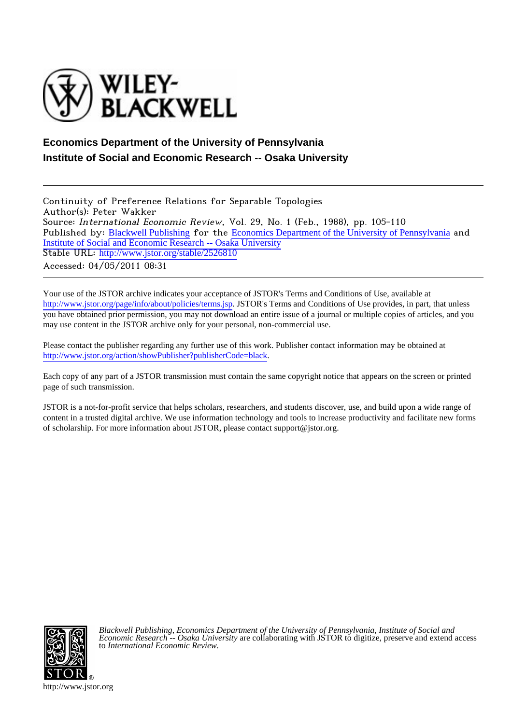

# **Economics Department of the University of Pennsylvania Institute of Social and Economic Research -- Osaka University**

Continuity of Preference Relations for Separable Topologies Author(s): Peter Wakker Source: International Economic Review, Vol. 29, No. 1 (Feb., 1988), pp. 105-110 Published by: [Blackwell Publishing](http://www.jstor.org/action/showPublisher?publisherCode=black) for the [Economics Department of the University of Pennsylvania](http://www.jstor.org/action/showPublisher?publisherCode=ier_pub) and [Institute of Social and Economic Research -- Osaka University](http://www.jstor.org/action/showPublisher?publisherCode=iser) Stable URL: [http://www.jstor.org/stable/2526810](http://www.jstor.org/stable/2526810?origin=JSTOR-pdf) Accessed: 04/05/2011 08:31

Your use of the JSTOR archive indicates your acceptance of JSTOR's Terms and Conditions of Use, available at <http://www.jstor.org/page/info/about/policies/terms.jsp>. JSTOR's Terms and Conditions of Use provides, in part, that unless you have obtained prior permission, you may not download an entire issue of a journal or multiple copies of articles, and you may use content in the JSTOR archive only for your personal, non-commercial use.

Please contact the publisher regarding any further use of this work. Publisher contact information may be obtained at [http://www.jstor.org/action/showPublisher?publisherCode=black.](http://www.jstor.org/action/showPublisher?publisherCode=black)

Each copy of any part of a JSTOR transmission must contain the same copyright notice that appears on the screen or printed page of such transmission.

JSTOR is a not-for-profit service that helps scholars, researchers, and students discover, use, and build upon a wide range of content in a trusted digital archive. We use information technology and tools to increase productivity and facilitate new forms of scholarship. For more information about JSTOR, please contact support@jstor.org.



*Blackwell Publishing*, *Economics Department of the University of Pennsylvania*, *Institute of Social and Economic Research -- Osaka University* are collaborating with JSTOR to digitize, preserve and extend access to *International Economic Review.*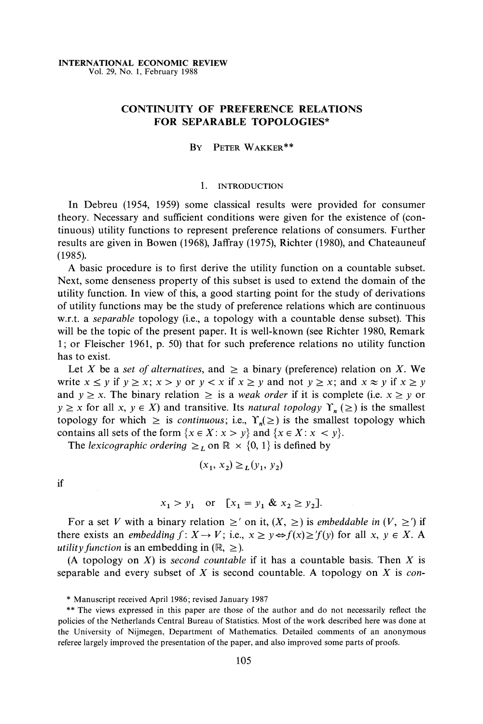# **CONTINUITY OF PREFERENCE RELATIONS FOR SEPARABLE TOPOLOGIES\***

# **BY PETER WAKKER\*\***

#### **1. INTRODUCTION**

**In Debreu (1954, 1959) some classical results were provided for consumer theory. Necessary and sufficient conditions were given for the existence of (continuous) utility functions to represent preference relations of consumers. Further results are given in Bowen (1968), Jaffray (1975), Richter (1980), and Chateauneuf (1985).** 

**A basic procedure is to first derive the utility function on a countable subset. Next, some denseness property of this subset is used to extend the domain of the utility function. In view of this, a good starting point for the study of derivations of utility functions may be the study of preference relations which are continuous w.r.t. a separable topology (i.e., a topology with a countable dense subset). This will be the topic of the present paper. It is well-known (see Richter 1980, Remark 1; or Fleischer 1961, p. 50) that for such preference relations no utility function has to exist.** 

Let X be a set of alternatives, and  $\geq$  a binary (preference) relation on X. We write  $x \leq y$  if  $y \geq x$ ;  $x > y$  or  $y < x$  if  $x \geq y$  and not  $y \geq x$ ; and  $x \approx y$  if  $x \geq y$ and  $y \ge x$ . The binary relation  $\ge$  is a *weak order* if it is complete (i.e.  $x \ge y$  or  $y \ge x$  for all  $x, y \in X$ ) and transitive. Its *natural topology*  $Y_n \le x$  is the smallest **topology** for which  $\geq$  is *continuous*; i.e.,  $\Upsilon_n(\geq)$  is the smallest topology which **contains all sets of the form**  $\{x \in X : x > y\}$  **and**  $\{x \in X : x < y\}$ **.** 

The lexicographic ordering  $\geq_L$  on  $\mathbb{R} \times \{0, 1\}$  is defined by

$$
(x_1, x_2) \geq_L (y_1, y_2)
$$

**if** 

$$
x_1 > y_1
$$
 or  $[x_1 = y_1 \& x_2 \ge y_2].$ 

For a set V with a binary relation  $\geq'$  on it,  $(X, \geq)$  is *embeddable in*  $(V, \geq')$  if **there exists an embedding**  $f: X \to V$ ; i.e.,  $x \geq y \Leftrightarrow f(x) \geq f(y)$  for all  $x, y \in X$ . A *utility function* is an embedding in  $(\mathbb{R}, \geq)$ .

(A topology on  $X$ ) is second countable if it has a countable basis. Then  $X$  is **separable and every subset of X is second countable. A topology on X is con-** 

**<sup>\*</sup> Manuscript received April 1986; revised January 1987** 

**<sup>\*\*</sup> The views expressed in this paper are those of the author and do not necessarily reflect the policies of the Netherlands Central Bureau of Statistics. Most of the work described here was done at the University of Nijmegen, Department of Mathematics. Detailed comments of an anonymous referee largely improved the presentation of the paper, and also improved some parts of proofs.**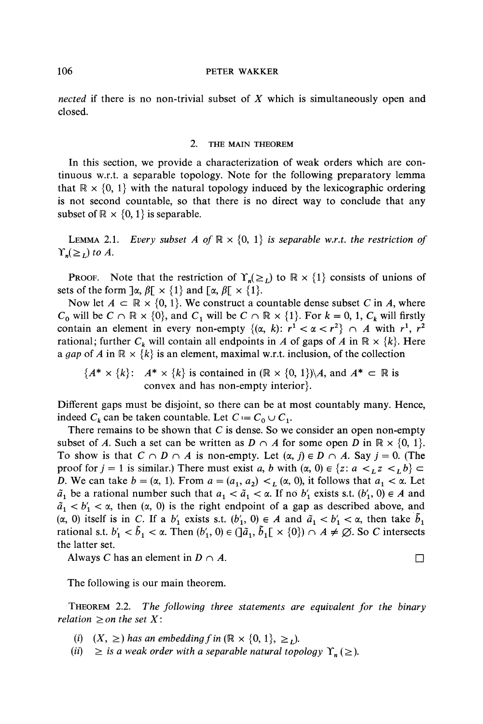#### **106 PETER WAKKER**

**nected if there is no non-trivial subset of X which is simultaneously open and closed.** 

# **2. THE MAIN THEOREM**

**In this section, we provide a characterization of weak orders which are continuous w.r.t. a separable topology. Note for the following preparatory lemma**  that  $\mathbb{R} \times \{0, 1\}$  with the natural topology induced by the lexicographic ordering **is not second countable, so that there is no direct way to conclude that any subset of**  $\mathbb{R} \times \{0, 1\}$  **is separable.** 

**LEMMA** 2.1. Every subset A of  $\mathbb{R} \times \{0, 1\}$  is separable w.r.t. the restriction of  $\Upsilon_n(\geq L)$  to A.

**PROOF.** Note that the restriction of  $\Upsilon_n(\geq_L)$  to  $\mathbb{R} \times \{1\}$  consists of unions of sets of the form  $\exists \alpha, \beta \in \{1\}$  and  $\lceil \alpha, \beta \in \{1\}$ .

Now let  $A \subset \mathbb{R} \times \{0, 1\}$ . We construct a countable dense subset C in A, where  $C_0$  will be  $C \cap \mathbb{R} \times \{0\}$ , and  $C_1$  will be  $C \cap \mathbb{R} \times \{1\}$ . For  $k = 0, 1, C_k$  will firstly contain an element in every non-empty  $\{(\alpha, k): r^1 < \alpha < r^2\} \cap A$  with  $r^1$ ,  $r^2$ **rational;** further  $C_k$  will contain all endpoints in A of gaps of A in  $\mathbb{R} \times \{k\}$ . Here **a** gap of A in  $\mathbb{R} \times \{k\}$  is an element, maximal w.r.t. inclusion, of the collection

 ${A^* \times \{k\}}$ :  $A^* \times \{k\}$  is contained in  $(\mathbb{R} \times \{0, 1\})\setminus A$ , and  $A^* \subset \mathbb{R}$  is **convex and has non-empty interior}.** 

**Different gaps must be disjoint, so there can be at most countably many. Hence,**  indeed  $C_k$  can be taken countable. Let  $C = C_0 \cup C_1$ .

**There remains to be shown that C is dense. So we consider an open non-empty**  subset of A. Such a set can be written as  $D \cap A$  for some open D in  $\mathbb{R} \times \{0, 1\}$ . To show is that  $C \cap D \cap A$  is non-empty. Let  $(\alpha, j) \in D \cap A$ . Say  $j = 0$ . (The **proof for**  $j = 1$  is similar.) There must exist a, b with  $(\alpha, 0) \in \{z: a <_L z <_L b\}$ **D.** We can take  $b = (\alpha, 1)$ . From  $a = (a_1, a_2) < L(\alpha, 0)$ , it follows that  $a_1 < \alpha$ . Let  $\tilde{a}_1$  be a rational number such that  $a_1 < \tilde{a}_1 < \alpha$ . If no  $b'_1$  exists s.t.  $(b'_1, 0) \in A$  and  $\tilde{a}_1 < b'_1 < \alpha$ , then  $(\alpha, 0)$  is the right endpoint of a gap as described above, and ( $\alpha$ , 0) itself is in C. If a  $b'_1$  exists s.t.  $(b'_1, 0) \in A$  and  $\tilde{a}_1 < b'_1 < \alpha$ , then take  $\tilde{b}_1$ rational s.t.  $b'_1 < b_1 < \alpha$ . Then  $(b'_1, 0) \in (\tilde{a}_1, \tilde{b}_1[ \times \{0\}) \cap A \neq \emptyset)$ . So C intersects **the latter set.** 

Always C has an element in  $D \cap A$ .

**The following is our main theorem.** 

**THEOREM 2.2. The following three statements are equivalent for the binary**  *relation*  $\geq$  *on the set*  $X$ :

- (i)  $(X, \geq)$  has an embedding f in  $(\mathbb{R} \times \{0, 1\}, \geq L)$ .
- (ii)  $\geq$  is a weak order with a separable natural topology  $\Upsilon_n \geq$ ).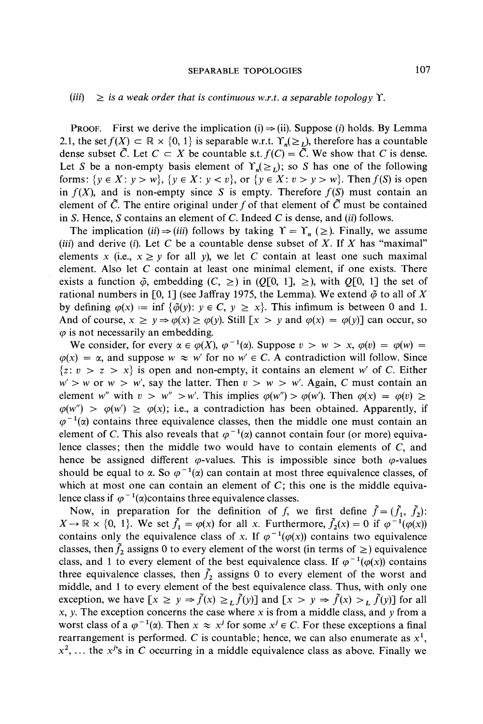# **SEPARABLE TOPOLOGIES** 107

(iii)  $\geq$  is a weak order that is continuous w.r.t. a separable topology  $\Upsilon$ .

**PROOF.** First we derive the implication (i)  $\Rightarrow$  (ii). Suppose (i) holds. By Lemma 2.1, the set  $f(X) \subset \mathbb{R} \times \{0, 1\}$  is separable w.r.t.  $\Upsilon_n(\geq L)$ , therefore has a countable dense subset  $\tilde{C}$ . Let  $C \subset X$  be countable s.t.  $f(C) = \tilde{C}$ . We show that C is dense. Let S be a non-empty basis element of  $\Upsilon_n(\geq_L)$ ; so S has one of the following **forms:**  $\{y \in X : y > w\}$ ,  $\{y \in X : y < v\}$ , or  $\{y \in X : v > y > w\}$ . Then  $f(S)$  is open in  $f(X)$ , and is non-empty since S is empty. Therefore  $f(S)$  must contain an element of  $\tilde{C}$ . The entire original under f of that element of  $\tilde{C}$  must be contained **in S. Hence, S contains an element of C. Indeed C is dense, and (ii) follows.** 

The implication (ii)  $\Rightarrow$  (iii) follows by taking  $\Upsilon = \Upsilon_n$  ( $\geq$ ). Finally, we assume **(iii) and derive (i). Let C be a countable dense subset of X. If X has "maximal"**  elements x (i.e.,  $x \geq y$  for all y), we let C contain at least one such maximal **element. Also let C contain at least one minimal element, if one exists. There**  exists a function  $\tilde{\varphi}$ , embedding  $(C, \geq)$  in  $(Q[0, 1], \geq)$ , with  $Q[0, 1]$  the set of rational numbers in [0, 1] (see Jaffray 1975, the Lemma). We extend  $\tilde{\varphi}$  to all of X by defining  $\varphi(x) := \inf \{\tilde{\varphi}(y) : y \in C, y \geq x\}$ . This infimum is between 0 and 1. And of course,  $x \ge y \Rightarrow \varphi(x) \ge \varphi(y)$ . Still  $\lceil x \rceil y$  and  $\varphi(x) = \varphi(y)$  can occur, so **p is not necessarily an embedding.** 

We consider, for every  $\alpha \in \varphi(X)$ ,  $\varphi^{-1}(\alpha)$ . Suppose  $v > w > x$ ,  $\varphi(v) = \varphi(w) =$  $\varphi(x) = \alpha$ , and suppose  $w \approx w'$  for no  $w' \in C$ . A contradiction will follow. Since  $\{z: v > z > x\}$  is open and non-empty, it contains an element w' of C. Either  $w' > w$  or  $w > w'$ , say the latter. Then  $v > w > w'$ . Again, C must contain an element w'' with  $v > w' > w'$ . This implies  $\varphi(w'') > \varphi(w')$ . Then  $\varphi(x) = \varphi(v) \ge$  $\varphi(w'') > \varphi(w') \ge \varphi(x)$ ; i.e., a contradiction has been obtained. Apparently, if  $\varphi^{-1}(\alpha)$  contains three equivalence classes, then the middle one must contain an element of C. This also reveals that  $\varphi^{-1}(\alpha)$  cannot contain four (or more) equiva**lence classes; then the middle two would have to contain elements of C, and**  hence be assigned different  $\varphi$ -values. This is impossible since both  $\varphi$ -values should be equal to  $\alpha$ . So  $\varphi^{-1}(\alpha)$  can contain at most three equivalence classes, of which at most one can contain an element of C; this one is the middle equivalence class if  $\varphi^{-1}(\alpha)$  contains three equivalence classes.

Now, in preparation for the definition of f, we first define  $\tilde{f} = (\tilde{f}_1, \tilde{f}_2)$ :  $X \to \mathbb{R} \times \{0, 1\}$ . We set  $\tilde{f}_1 = \varphi(x)$  for all x. Furthermore,  $\tilde{f}_2(x) = 0$  if  $\varphi^{-1}(\varphi(x))$ contains only the equivalence class of x. If  $\varphi^{-1}(\varphi(x))$  contains two equivalence classes, then  $\tilde{f}_2$  assigns 0 to every element of the worst (in terms of  $\geq$ ) equivalence class, and 1 to every element of the best equivalence class. If  $\varphi^{-1}(\varphi(x))$  contains three equivalence classes, then  $f_2$  assigns 0 to every element of the worst and **middle, and 1 to every element of the best equivalence class. Thus, with only one exception, we have**  $[x \ge y \Rightarrow \tilde{f}(x) \ge L \tilde{f}(y)]$  and  $[x > y \Rightarrow \tilde{f}(x) > L \tilde{f}(y)]$  for all  $x, y$ . The exception concerns the case where x is from a middle class, and  $y$  from a worst class of a  $\varphi^{-1}(\alpha)$ . Then  $x \approx x^j$  for some  $x^j \in C$ . For these exceptions a final rearrangement is performed. C is countable; hence, we can also enumerate as  $x<sup>1</sup>$ ,  $x^2$ , ... the  $x^3$  in C occurring in a middle equivalence class as above. Finally we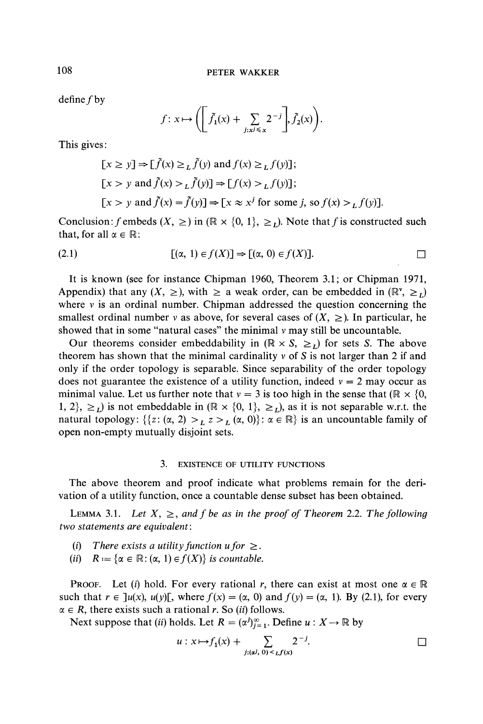define *f* by

$$
f: x \mapsto \biggl( \biggl[ \tilde{f}_1(x) + \sum_{j: x^j \leq x} 2^{-j} \biggr], \tilde{f}_2(x) \biggr).
$$

**This gives:** 

$$
[x \ge y] \Rightarrow [\tilde{f}(x) \ge L \tilde{f}(y) \text{ and } f(x) \ge L f(y)];
$$
  
\n
$$
[x > y \text{ and } \tilde{f}(x) > L \tilde{f}(y)] \Rightarrow [f(x) > L f(y)];
$$
  
\n
$$
[x > y \text{ and } \tilde{f}(x) = \tilde{f}(y)] \Rightarrow [x \approx x^j \text{ for some } j, \text{ so } f(x) > L f(y)].
$$

Conclusion:  $f$  embeds  $(X, \geq)$  in  $(\mathbb{R} \times \{0, 1\}, \geq_L)$ . Note that  $f$  is constructed such **that, for all**  $\alpha \in \mathbb{R}$ :

$$
[(\alpha, 1) \in f(X)] \Rightarrow [(\alpha, 0) \in f(X)].
$$

**It is known (see for instance Chipman 1960, Theorem 3.1; or Chipman 1971,**  Appendix) that any  $(X, \geq)$ , with  $\geq$  a weak order, can be embedded in  $(\mathbb{R}^{\nu}, \geq)$ **where v is an ordinal number. Chipman addressed the question concerning the**  smallest ordinal number v as above, for several cases of  $(X, \geq)$ . In particular, he **showed that in some "natural cases" the minimal v may still be uncountable.** 

Our theorems consider embeddability in  $(\mathbb{R} \times S, \geq_L)$  for sets S. The above theorem has shown that the minimal cardinality  $\nu$  of S is not larger than 2 if and **only if the order topology is separable. Since separability of the order topology**  does not guarantee the existence of a utility function, indeed  $v = 2$  may occur as minimal value. Let us further note that  $v = 3$  is too high in the sense that ( $\mathbb{R} \times \{0,$ 1, 2},  $\geq_L$ ) is not embeddable in ( $\mathbb{R} \times \{0, 1\}$ ,  $\geq_L$ ), as it is not separable w.r.t. the **natural topology:**  $\{\{z: (\alpha, 2) >_L z >_L (\alpha, 0)\} : \alpha \in \mathbb{R}\}$  is an uncountable family of **open non-empty mutually disjoint sets.** 

### **3. EXISTENCE OF UTILITY FUNCTIONS**

**The above theorem and proof indicate what problems remain for the derivation of a utility function, once a countable dense subset has been obtained.** 

**LEMMA** 3.1. Let  $X$ ,  $\geq$ , and f be as in the proof of Theorem 2.2. The following **two statements are equivalent:** 

- (i) There exists a utility function  $u$  for  $\geq$ .
- (ii)  $R := \{ \alpha \in \mathbb{R} : (\alpha, 1) \in f(X) \}$  is countable.

**PROOF.** Let (i) hold. For every rational r, there can exist at most one  $\alpha \in \mathbb{R}$ such that  $r \in \left[\frac{u(x)}{v}\right]$ ,  $u(y)$ , where  $f(x) = (\alpha, 0)$  and  $f(y) = (\alpha, 1)$ . By (2.1), for every  $\alpha \in R$ , there exists such a rational r. So (*ii*) follows.

Next suppose that (ii) holds. Let  $R = (\alpha^j)_{j=1}^\infty$ . Define  $u: X \to \mathbb{R}$  by

$$
u: x \mapsto f_1(x) + \sum_{j:(\alpha^j, 0) \leq Lf(x)} 2^{-j}.
$$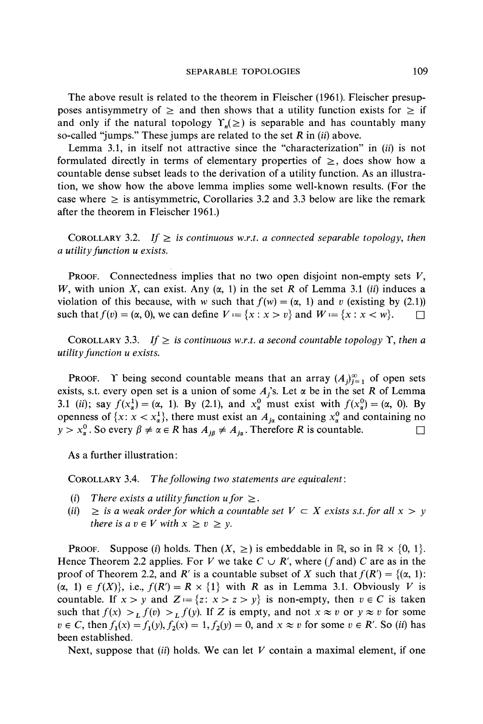**The above result is related to the theorem in Fleischer (1961). Fleischer presup**poses antisymmetry of  $\geq$  and then shows that a utility function exists for  $\geq$  if and only if the natural topology  $\Upsilon_n(\ge)$  is separable and has countably many **so-called "jumps." These jumps are related to the set R in (ii) above.** 

**Lemma 3.1, in itself not attractive since the "characterization" in (ii) is not formulated directly in terms of elementary properties of**  $\geq$ **, does show how a countable dense subset leads to the derivation of a utility function. As an illustration, we show how the above lemma implies some well-known results. (For the**  case where  $\geq$  is antisymmetric, Corollaries 3.2 and 3.3 below are like the remark **after the theorem in Fleischer 1961.)** 

**COROLLARY 3.2.** If  $\geq$  is continuous w.r.t. a connected separable topology, then **a utility function u exists.** 

**PROOF. Connectedness implies that no two open disjoint non-empty sets V,**  W, with union X, can exist. Any  $(\alpha, 1)$  in the set R of Lemma 3.1 *(ii)* induces a violation of this because, with w such that  $f(w) = (\alpha, 1)$  and v (existing by (2.1)) such that  $f(v) = (\alpha, 0)$ , we can define  $V := \{x : x > v\}$  and  $W := \{x : x < w\}$ .

**COROLLARY 3.3.** If  $\geq$  is continuous w.r.t. a second countable topology  $\Upsilon$ , then a **utility function u exists.** 

**PROOF.** *Y* **being second countable means that an array**  $(A_j)_{j=1}^{\infty}$  **of open sets** exists, s.t. every open set is a union of some  $A_i$ 's. Let  $\alpha$  be in the set R of Lemma **3.1** (ii); say  $f(x^1) = (\alpha, 1)$ . By (2.1), and  $x^0 = \alpha$  must exist with  $f(x^0) = (\alpha, 0)$ . By openness of  $\{x: x < x_{\alpha}^1\}$ , there must exist an  $A_{j\alpha}$  containing  $x_{\alpha}^0$  and containing no  $y > x_\alpha^0$ . So every  $\beta \neq \alpha \in R$  has  $A_{j\beta} \neq A_{j\alpha}$ . Therefore R is countable.

**As a further illustration:** 

**COROLLARY 3.4.** The following two statements are equivalent:

- (i) There exists a utility function  $u$  for  $\geq$ .
- (ii)  $\geq$  is a weak order for which a countable set  $V \subset X$  exists s.t. for all  $x > y$ *there is a*  $v \in V$  *with* $x \ge v \ge y$ **.**

**PROOF.** Suppose (i) holds. Then  $(X, \geq)$  is embeddable in  $\mathbb{R}$ , so in  $\mathbb{R} \times \{0, 1\}$ . **Hence Theorem 2.2 applies.** For V we take  $C \cup R'$ , where (f and) C are as in the **proof of Theorem 2.2, and R' is a countable subset of X such that**  $f(R') = \{(x, 1):$  $(\alpha, 1) \in f(X)$ , i.e.,  $f(R') = R \times \{1\}$  with R as in Lemma 3.1. Obviously V is **countable.** If  $x > y$  and  $Z := \{z: x > z > y\}$  is non-empty, then  $v \in C$  is taken such that  $f(x) > L f(y)$ . If Z is empty, and not  $x \approx v$  or  $y \approx v$  for some  $v \in C$ , then  $f_1(x) = f_1(y)$ ,  $f_2(x) = 1$ ,  $f_2(y) = 0$ , and  $x \approx v$  for some  $v \in R'$ . So (ii) has **been established.** 

**Next, suppose that (ii) holds. We can let V contain a maximal element, if one**